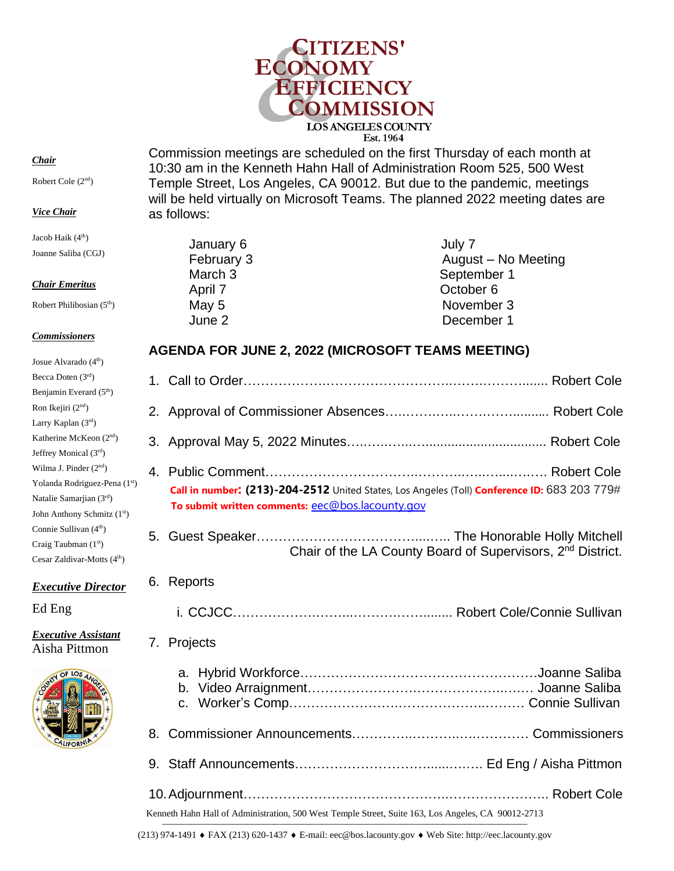

*Chair*

Robert Cole (2nd)

#### *Vice Chair*

Jacob Haik (4<sup>th</sup>) Joanne Saliba (CGJ)

### *Chair Emeritus*

Robert Philibosian (5<sup>th</sup>)

### *Commissioners*

| Josue Alvarado (4 <sup>th</sup> )       |
|-----------------------------------------|
| Becca Doten (3rd)                       |
| Benjamin Everard (5 <sup>th</sup> )     |
| Ron Ikejiri (2 <sup>nd</sup> )          |
| Larry Kaplan (3rd)                      |
| Katherine McKeon (2 <sup>nd</sup> )     |
| Jeffrey Monical (3rd)                   |
| Wilma J. Pinder $(2nd)$                 |
| Yolanda Rodriguez-Pena (1st)            |
| Natalie Samarjian (3rd)                 |
| John Anthony Schmitz (1st)              |
| Connie Sullivan (4 <sup>th</sup> )      |
| Craig Taubman $(1st)$                   |
| Cesar Zaldivar-Motts (4 <sup>th</sup> ) |

# *Executive Director*

Ed Eng

### *Executive Assistant*  Aisha Pittmon



Commission meetings are scheduled on the first Thursday of each month at 10:30 am in the Kenneth Hahn Hall of Administration Room 525, 500 West Temple Street, Los Angeles, CA 90012. But due to the pandemic, meetings will be held virtually on Microsoft Teams. The planned 2022 meeting dates are as follows:

| January 6          | July 7              |
|--------------------|---------------------|
| February 3         | August - No Meeting |
| March <sub>3</sub> | September 1         |
| April 7            | October 6           |
| May 5              | November 3          |
| June 2             | December 1          |
|                    |                     |

# **AGENDA FOR JUNE 2, 2022 (MICROSOFT TEAMS MEETING)**

|    | Call in number: (213)-204-2512 United States, Los Angeles (Toll) Conference ID: 683 203 779#<br>To submit written comments: eec@bos.lacounty.gov |
|----|--------------------------------------------------------------------------------------------------------------------------------------------------|
|    | Chair of the LA County Board of Supervisors, 2 <sup>nd</sup> District.                                                                           |
| 6. | Reports                                                                                                                                          |
|    |                                                                                                                                                  |
|    | 7. Projects                                                                                                                                      |
|    | a.                                                                                                                                               |
| 8. |                                                                                                                                                  |
|    |                                                                                                                                                  |
|    |                                                                                                                                                  |

Kenneth Hahn Hall of Administration, 500 West Temple Street, Suite 163, Los Angeles, CA 90012-2713